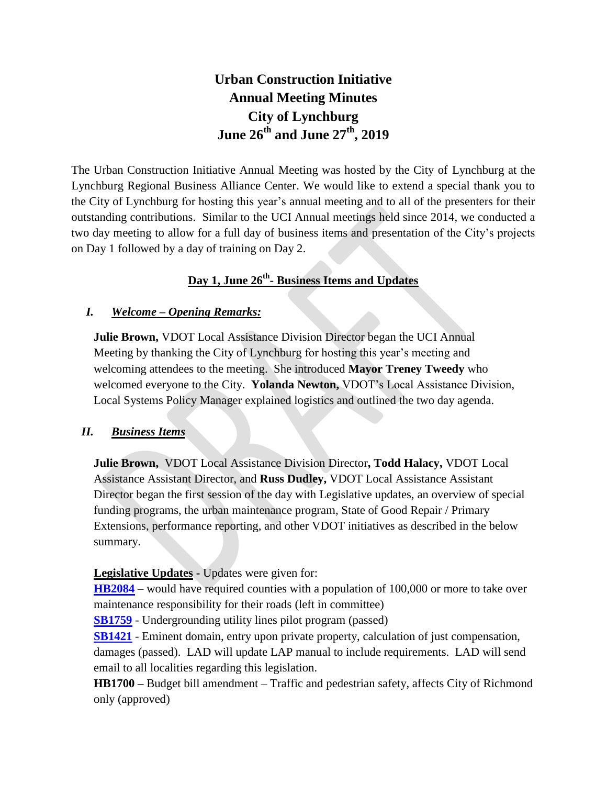# **Urban Construction Initiative Annual Meeting Minutes City of Lynchburg June 26th and June 27th, 2019**

The Urban Construction Initiative Annual Meeting was hosted by the City of Lynchburg at the Lynchburg Regional Business Alliance Center. We would like to extend a special thank you to the City of Lynchburg for hosting this year's annual meeting and to all of the presenters for their outstanding contributions. Similar to the UCI Annual meetings held since 2014, we conducted a two day meeting to allow for a full day of business items and presentation of the City's projects on Day 1 followed by a day of training on Day 2.

## **Day 1, June 26th - Business Items and Updates**

#### *I. Welcome – Opening Remarks:*

**Julie Brown,** VDOT Local Assistance Division Director began the UCI Annual Meeting by thanking the City of Lynchburg for hosting this year's meeting and welcoming attendees to the meeting. She introduced **Mayor Treney Tweedy** who welcomed everyone to the City. **Yolanda Newton,** VDOT's Local Assistance Division, Local Systems Policy Manager explained logistics and outlined the two day agenda.

#### *II. Business Items*

**Julie Brown,** VDOT Local Assistance Division Director**, Todd Halacy,** VDOT Local Assistance Assistant Director, and **Russ Dudley,** VDOT Local Assistance Assistant Director began the first session of the day with Legislative updates, an overview of special funding programs, the urban maintenance program, State of Good Repair / Primary Extensions, performance reporting, and other VDOT initiatives as described in the below summary.

**Legislative Updates -** Updates were given for:

**[HB2084](http://lis.virginia.gov/cgi-bin/legp604.exe?191+sum+HB2084)** – would have required counties with a population of 100,000 or more to take over maintenance responsibility for their roads (left in committee)

**[SB1759](http://lis.virginia.gov/cgi-bin/legp604.exe?ses=191&typ=bil&val=sb1759)** - Undergrounding utility lines pilot program (passed)

**[SB1421](http://lis.virginia.gov/cgi-bin/legp604.exe?ses=191&typ=bil&val=sb1421)** - Eminent domain, entry upon private property, calculation of just compensation, damages (passed). LAD will update LAP manual to include requirements. LAD will send email to all localities regarding this legislation.

**HB1700 –** Budget bill amendment – Traffic and pedestrian safety, affects City of Richmond only (approved)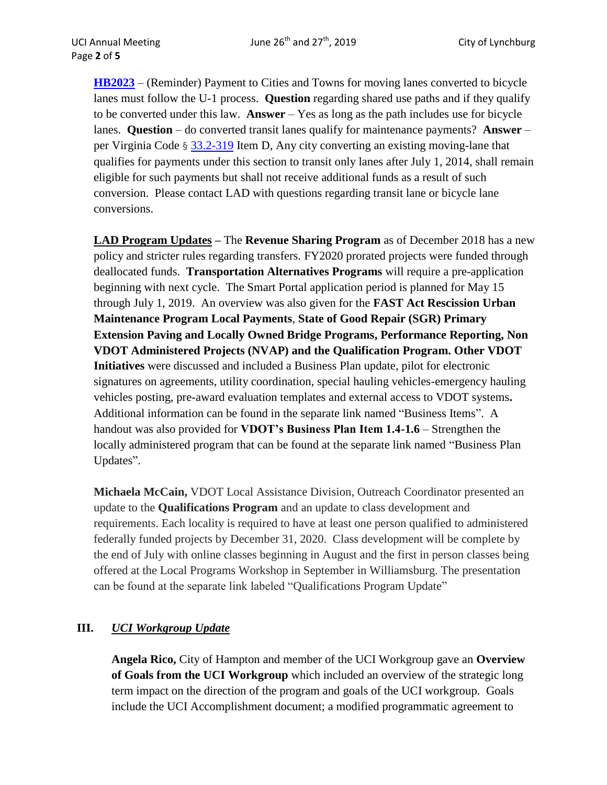**[HB2023](http://lis.virginia.gov/cgi-bin/legp604.exe?171+sum+HB2023)** – (Reminder) Payment to Cities and Towns for moving lanes converted to bicycle lanes must follow the U-1 process. **Question** regarding shared use paths and if they qualify to be converted under this law. **Answer** – Yes as long as the path includes use for bicycle lanes. **Question** – do converted transit lanes qualify for maintenance payments? **Answer** – per Virginia Code § [33.2-319](https://law.lis.virginia.gov/vacode/33.2-319/) Item D, Any city converting an existing moving-lane that qualifies for payments under this section to transit only lanes after July 1, 2014, shall remain eligible for such payments but shall not receive additional funds as a result of such conversion. Please contact LAD with questions regarding transit lane or bicycle lane conversions.

**LAD Program Updates –** The **Revenue Sharing Program** as of December 2018 has a new policy and stricter rules regarding transfers. FY2020 prorated projects were funded through deallocated funds. **Transportation Alternatives Programs** will require a pre-application beginning with next cycle. The Smart Portal application period is planned for May 15 through July 1, 2019. An overview was also given for the **FAST Act Rescission Urban Maintenance Program Local Payments**, **State of Good Repair (SGR) Primary Extension Paving and Locally Owned Bridge Programs, Performance Reporting, Non VDOT Administered Projects (NVAP) and the Qualification Program. Other VDOT Initiatives** were discussed and included a Business Plan update, pilot for electronic signatures on agreements, utility coordination, special hauling vehicles-emergency hauling vehicles posting, pre-award evaluation templates and external access to VDOT systems**.**  Additional information can be found in the separate link named "Business Items". A handout was also provided for **VDOT's Business Plan Item 1.4-1.6** – Strengthen the locally administered program that can be found at the separate link named "Business Plan Updates".

**Michaela McCain,** VDOT Local Assistance Division, Outreach Coordinator presented an update to the **Qualifications Program** and an update to class development and requirements. Each locality is required to have at least one person qualified to administered federally funded projects by December 31, 2020. Class development will be complete by the end of July with online classes beginning in August and the first in person classes being offered at the Local Programs Workshop in September in Williamsburg. The presentation can be found at the separate link labeled "Qualifications Program Update"

## **III.** *UCI Workgroup Update*

**Angela Rico,** City of Hampton and member of the UCI Workgroup gave an **Overview of Goals from the UCI Workgroup** which included an overview of the strategic long term impact on the direction of the program and goals of the UCI workgroup. Goals include the UCI Accomplishment document; a modified programmatic agreement to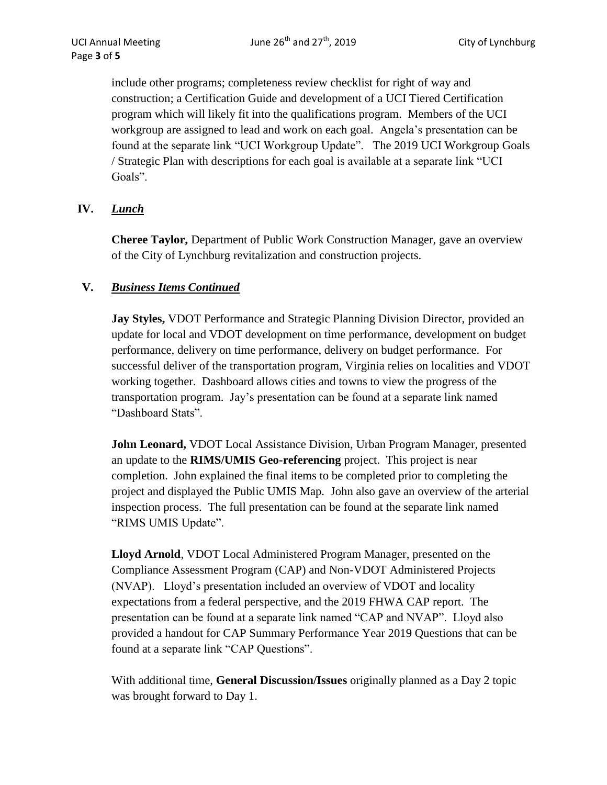include other programs; completeness review checklist for right of way and construction; a Certification Guide and development of a UCI Tiered Certification program which will likely fit into the qualifications program. Members of the UCI workgroup are assigned to lead and work on each goal. Angela's presentation can be found at the separate link "UCI Workgroup Update". The 2019 UCI Workgroup Goals / Strategic Plan with descriptions for each goal is available at a separate link "UCI Goals".

## **IV.** *Lunch*

**Cheree Taylor,** Department of Public Work Construction Manager, gave an overview of the City of Lynchburg revitalization and construction projects.

## **V.** *Business Items Continued*

**Jay Styles,** VDOT Performance and Strategic Planning Division Director, provided an update for local and VDOT development on time performance, development on budget performance, delivery on time performance, delivery on budget performance. For successful deliver of the transportation program, Virginia relies on localities and VDOT working together. Dashboard allows cities and towns to view the progress of the transportation program. Jay's presentation can be found at a separate link named "Dashboard Stats".

**John Leonard, VDOT** Local Assistance Division, Urban Program Manager, presented an update to the **RIMS/UMIS Geo-referencing** project. This project is near completion. John explained the final items to be completed prior to completing the project and displayed the Public UMIS Map. John also gave an overview of the arterial inspection process. The full presentation can be found at the separate link named "RIMS UMIS Update".

**Lloyd Arnold**, VDOT Local Administered Program Manager, presented on the Compliance Assessment Program (CAP) and Non-VDOT Administered Projects (NVAP). Lloyd's presentation included an overview of VDOT and locality expectations from a federal perspective, and the 2019 FHWA CAP report. The presentation can be found at a separate link named "CAP and NVAP". Lloyd also provided a handout for CAP Summary Performance Year 2019 Questions that can be found at a separate link "CAP Questions".

With additional time, **General Discussion/Issues** originally planned as a Day 2 topic was brought forward to Day 1.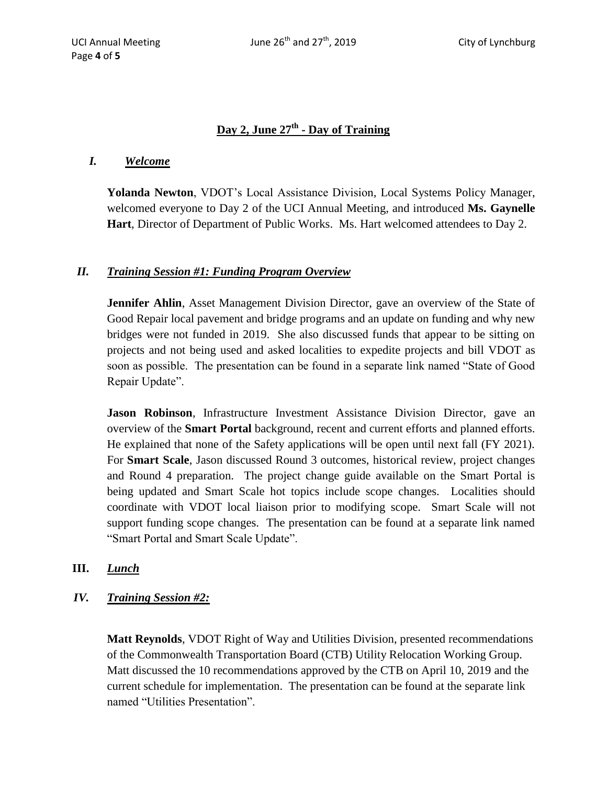### **Day 2, June 27th - Day of Training**

#### *I. Welcome*

Page **4** of **5**

**Yolanda Newton**, VDOT's Local Assistance Division, Local Systems Policy Manager, welcomed everyone to Day 2 of the UCI Annual Meeting, and introduced **Ms. Gaynelle Hart**, Director of Department of Public Works. Ms. Hart welcomed attendees to Day 2.

#### *II. Training Session #1: Funding Program Overview*

Jennifer Ahlin, Asset Management Division Director, gave an overview of the State of Good Repair local pavement and bridge programs and an update on funding and why new bridges were not funded in 2019. She also discussed funds that appear to be sitting on projects and not being used and asked localities to expedite projects and bill VDOT as soon as possible. The presentation can be found in a separate link named "State of Good Repair Update".

**Jason Robinson**, Infrastructure Investment Assistance Division Director, gave an overview of the **Smart Portal** background, recent and current efforts and planned efforts. He explained that none of the Safety applications will be open until next fall (FY 2021). For **Smart Scale**, Jason discussed Round 3 outcomes, historical review, project changes and Round 4 preparation. The project change guide available on the Smart Portal is being updated and Smart Scale hot topics include scope changes. Localities should coordinate with VDOT local liaison prior to modifying scope. Smart Scale will not support funding scope changes. The presentation can be found at a separate link named "Smart Portal and Smart Scale Update".

#### **III.** *Lunch*

*IV. Training Session #2:* 

**Matt Reynolds**, VDOT Right of Way and Utilities Division, presented recommendations of the Commonwealth Transportation Board (CTB) Utility Relocation Working Group. Matt discussed the 10 recommendations approved by the CTB on April 10, 2019 and the current schedule for implementation. The presentation can be found at the separate link named "Utilities Presentation".